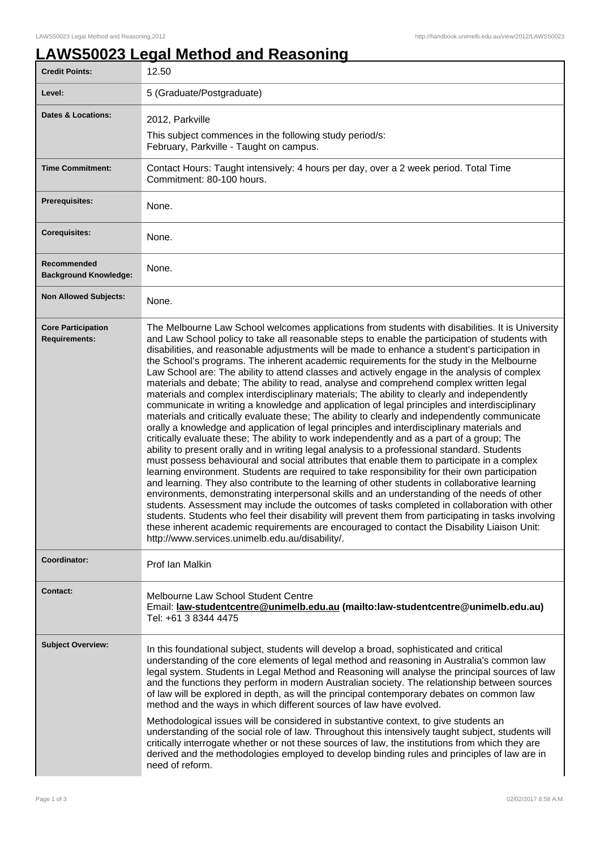## **LAWS50023 Legal Method and Reasoning**

| <b>Credit Points:</b>                             | 12.50                                                                                                                                                                                                                                                                                                                                                                                                                                                                                                                                                                                                                                                                                                                                                                                                                                                                                                                                                                                                                                                                                                                                                                                                                                                                                                                                                                                                                                                                                                                                                                                                                                                                                                                                                                                                                                                                                                                                               |
|---------------------------------------------------|-----------------------------------------------------------------------------------------------------------------------------------------------------------------------------------------------------------------------------------------------------------------------------------------------------------------------------------------------------------------------------------------------------------------------------------------------------------------------------------------------------------------------------------------------------------------------------------------------------------------------------------------------------------------------------------------------------------------------------------------------------------------------------------------------------------------------------------------------------------------------------------------------------------------------------------------------------------------------------------------------------------------------------------------------------------------------------------------------------------------------------------------------------------------------------------------------------------------------------------------------------------------------------------------------------------------------------------------------------------------------------------------------------------------------------------------------------------------------------------------------------------------------------------------------------------------------------------------------------------------------------------------------------------------------------------------------------------------------------------------------------------------------------------------------------------------------------------------------------------------------------------------------------------------------------------------------------|
| Level:                                            | 5 (Graduate/Postgraduate)                                                                                                                                                                                                                                                                                                                                                                                                                                                                                                                                                                                                                                                                                                                                                                                                                                                                                                                                                                                                                                                                                                                                                                                                                                                                                                                                                                                                                                                                                                                                                                                                                                                                                                                                                                                                                                                                                                                           |
| <b>Dates &amp; Locations:</b>                     | 2012, Parkville                                                                                                                                                                                                                                                                                                                                                                                                                                                                                                                                                                                                                                                                                                                                                                                                                                                                                                                                                                                                                                                                                                                                                                                                                                                                                                                                                                                                                                                                                                                                                                                                                                                                                                                                                                                                                                                                                                                                     |
|                                                   | This subject commences in the following study period/s:<br>February, Parkville - Taught on campus.                                                                                                                                                                                                                                                                                                                                                                                                                                                                                                                                                                                                                                                                                                                                                                                                                                                                                                                                                                                                                                                                                                                                                                                                                                                                                                                                                                                                                                                                                                                                                                                                                                                                                                                                                                                                                                                  |
| <b>Time Commitment:</b>                           | Contact Hours: Taught intensively: 4 hours per day, over a 2 week period. Total Time<br>Commitment: 80-100 hours.                                                                                                                                                                                                                                                                                                                                                                                                                                                                                                                                                                                                                                                                                                                                                                                                                                                                                                                                                                                                                                                                                                                                                                                                                                                                                                                                                                                                                                                                                                                                                                                                                                                                                                                                                                                                                                   |
| Prerequisites:                                    | None.                                                                                                                                                                                                                                                                                                                                                                                                                                                                                                                                                                                                                                                                                                                                                                                                                                                                                                                                                                                                                                                                                                                                                                                                                                                                                                                                                                                                                                                                                                                                                                                                                                                                                                                                                                                                                                                                                                                                               |
| <b>Corequisites:</b>                              | None.                                                                                                                                                                                                                                                                                                                                                                                                                                                                                                                                                                                                                                                                                                                                                                                                                                                                                                                                                                                                                                                                                                                                                                                                                                                                                                                                                                                                                                                                                                                                                                                                                                                                                                                                                                                                                                                                                                                                               |
| Recommended<br><b>Background Knowledge:</b>       | None.                                                                                                                                                                                                                                                                                                                                                                                                                                                                                                                                                                                                                                                                                                                                                                                                                                                                                                                                                                                                                                                                                                                                                                                                                                                                                                                                                                                                                                                                                                                                                                                                                                                                                                                                                                                                                                                                                                                                               |
| <b>Non Allowed Subjects:</b>                      | None.                                                                                                                                                                                                                                                                                                                                                                                                                                                                                                                                                                                                                                                                                                                                                                                                                                                                                                                                                                                                                                                                                                                                                                                                                                                                                                                                                                                                                                                                                                                                                                                                                                                                                                                                                                                                                                                                                                                                               |
| <b>Core Participation</b><br><b>Requirements:</b> | The Melbourne Law School welcomes applications from students with disabilities. It is University<br>and Law School policy to take all reasonable steps to enable the participation of students with<br>disabilities, and reasonable adjustments will be made to enhance a student's participation in<br>the School's programs. The inherent academic requirements for the study in the Melbourne<br>Law School are: The ability to attend classes and actively engage in the analysis of complex<br>materials and debate; The ability to read, analyse and comprehend complex written legal<br>materials and complex interdisciplinary materials; The ability to clearly and independently<br>communicate in writing a knowledge and application of legal principles and interdisciplinary<br>materials and critically evaluate these; The ability to clearly and independently communicate<br>orally a knowledge and application of legal principles and interdisciplinary materials and<br>critically evaluate these; The ability to work independently and as a part of a group; The<br>ability to present orally and in writing legal analysis to a professional standard. Students<br>must possess behavioural and social attributes that enable them to participate in a complex<br>learning environment. Students are required to take responsibility for their own participation<br>and learning. They also contribute to the learning of other students in collaborative learning<br>environments, demonstrating interpersonal skills and an understanding of the needs of other<br>students. Assessment may include the outcomes of tasks completed in collaboration with other<br>students. Students who feel their disability will prevent them from participating in tasks involving<br>these inherent academic requirements are encouraged to contact the Disability Liaison Unit:<br>http://www.services.unimelb.edu.au/disability/. |
| Coordinator:                                      | Prof Ian Malkin                                                                                                                                                                                                                                                                                                                                                                                                                                                                                                                                                                                                                                                                                                                                                                                                                                                                                                                                                                                                                                                                                                                                                                                                                                                                                                                                                                                                                                                                                                                                                                                                                                                                                                                                                                                                                                                                                                                                     |
| <b>Contact:</b>                                   | Melbourne Law School Student Centre<br>Email: law-studentcentre@unimelb.edu.au (mailto:law-studentcentre@unimelb.edu.au)<br>Tel: +61 3 8344 4475                                                                                                                                                                                                                                                                                                                                                                                                                                                                                                                                                                                                                                                                                                                                                                                                                                                                                                                                                                                                                                                                                                                                                                                                                                                                                                                                                                                                                                                                                                                                                                                                                                                                                                                                                                                                    |
| <b>Subject Overview:</b>                          | In this foundational subject, students will develop a broad, sophisticated and critical<br>understanding of the core elements of legal method and reasoning in Australia's common law<br>legal system. Students in Legal Method and Reasoning will analyse the principal sources of law<br>and the functions they perform in modern Australian society. The relationship between sources<br>of law will be explored in depth, as will the principal contemporary debates on common law<br>method and the ways in which different sources of law have evolved.<br>Methodological issues will be considered in substantive context, to give students an<br>understanding of the social role of law. Throughout this intensively taught subject, students will<br>critically interrogate whether or not these sources of law, the institutions from which they are<br>derived and the methodologies employed to develop binding rules and principles of law are in<br>need of reform.                                                                                                                                                                                                                                                                                                                                                                                                                                                                                                                                                                                                                                                                                                                                                                                                                                                                                                                                                                  |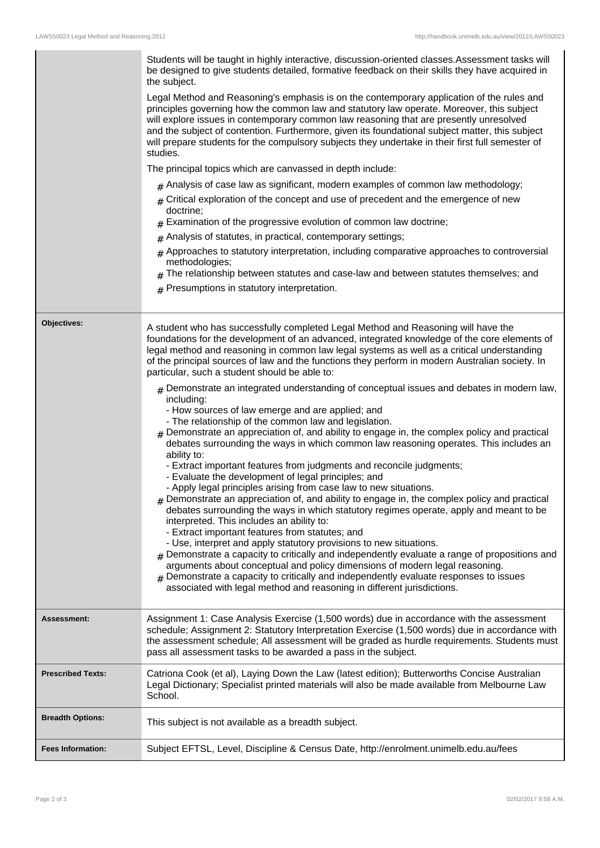|                          | Students will be taught in highly interactive, discussion-oriented classes. Assessment tasks will<br>be designed to give students detailed, formative feedback on their skills they have acquired in<br>the subject.<br>Legal Method and Reasoning's emphasis is on the contemporary application of the rules and<br>principles governing how the common law and statutory law operate. Moreover, this subject<br>will explore issues in contemporary common law reasoning that are presently unresolved<br>and the subject of contention. Furthermore, given its foundational subject matter, this subject<br>will prepare students for the compulsory subjects they undertake in their first full semester of<br>studies.<br>The principal topics which are canvassed in depth include:<br>$_{\#}$ Analysis of case law as significant, modern examples of common law methodology;<br>Critical exploration of the concept and use of precedent and the emergence of new<br>#<br>doctrine;<br>Examination of the progressive evolution of common law doctrine;<br>#<br>Analysis of statutes, in practical, contemporary settings;<br>#<br>$#$ Approaches to statutory interpretation, including comparative approaches to controversial<br>methodologies;<br>The relationship between statutes and case-law and between statutes themselves; and<br>$#$ Presumptions in statutory interpretation.                                                                                                                                                                                                                                                                                                                                                                                               |
|--------------------------|--------------------------------------------------------------------------------------------------------------------------------------------------------------------------------------------------------------------------------------------------------------------------------------------------------------------------------------------------------------------------------------------------------------------------------------------------------------------------------------------------------------------------------------------------------------------------------------------------------------------------------------------------------------------------------------------------------------------------------------------------------------------------------------------------------------------------------------------------------------------------------------------------------------------------------------------------------------------------------------------------------------------------------------------------------------------------------------------------------------------------------------------------------------------------------------------------------------------------------------------------------------------------------------------------------------------------------------------------------------------------------------------------------------------------------------------------------------------------------------------------------------------------------------------------------------------------------------------------------------------------------------------------------------------------------------------------------------------------------------------------------------------------------------------------|
| Objectives:              | A student who has successfully completed Legal Method and Reasoning will have the<br>foundations for the development of an advanced, integrated knowledge of the core elements of<br>legal method and reasoning in common law legal systems as well as a critical understanding<br>of the principal sources of law and the functions they perform in modern Australian society. In<br>particular, such a student should be able to:<br>$#$ Demonstrate an integrated understanding of conceptual issues and debates in modern law,<br>including:<br>- How sources of law emerge and are applied; and<br>- The relationship of the common law and legislation.<br>Demonstrate an appreciation of, and ability to engage in, the complex policy and practical<br>debates surrounding the ways in which common law reasoning operates. This includes an<br>ability to:<br>- Extract important features from judgments and reconcile judgments;<br>- Evaluate the development of legal principles; and<br>- Apply legal principles arising from case law to new situations.<br>$*$ Demonstrate an appreciation of, and ability to engage in, the complex policy and practical<br>debates surrounding the ways in which statutory regimes operate, apply and meant to be<br>interpreted. This includes an ability to:<br>- Extract important features from statutes; and<br>- Use, interpret and apply statutory provisions to new situations.<br>$#$ Demonstrate a capacity to critically and independently evaluate a range of propositions and<br>arguments about conceptual and policy dimensions of modern legal reasoning.<br>$#$ Demonstrate a capacity to critically and independently evaluate responses to issues<br>associated with legal method and reasoning in different jurisdictions. |
| <b>Assessment:</b>       | Assignment 1: Case Analysis Exercise (1,500 words) due in accordance with the assessment<br>schedule; Assignment 2: Statutory Interpretation Exercise (1,500 words) due in accordance with<br>the assessment schedule; All assessment will be graded as hurdle requirements. Students must<br>pass all assessment tasks to be awarded a pass in the subject.                                                                                                                                                                                                                                                                                                                                                                                                                                                                                                                                                                                                                                                                                                                                                                                                                                                                                                                                                                                                                                                                                                                                                                                                                                                                                                                                                                                                                                     |
| <b>Prescribed Texts:</b> | Catriona Cook (et al), Laying Down the Law (latest edition); Butterworths Concise Australian<br>Legal Dictionary; Specialist printed materials will also be made available from Melbourne Law<br>School.                                                                                                                                                                                                                                                                                                                                                                                                                                                                                                                                                                                                                                                                                                                                                                                                                                                                                                                                                                                                                                                                                                                                                                                                                                                                                                                                                                                                                                                                                                                                                                                         |
| <b>Breadth Options:</b>  | This subject is not available as a breadth subject.                                                                                                                                                                                                                                                                                                                                                                                                                                                                                                                                                                                                                                                                                                                                                                                                                                                                                                                                                                                                                                                                                                                                                                                                                                                                                                                                                                                                                                                                                                                                                                                                                                                                                                                                              |
| <b>Fees Information:</b> | Subject EFTSL, Level, Discipline & Census Date, http://enrolment.unimelb.edu.au/fees                                                                                                                                                                                                                                                                                                                                                                                                                                                                                                                                                                                                                                                                                                                                                                                                                                                                                                                                                                                                                                                                                                                                                                                                                                                                                                                                                                                                                                                                                                                                                                                                                                                                                                             |